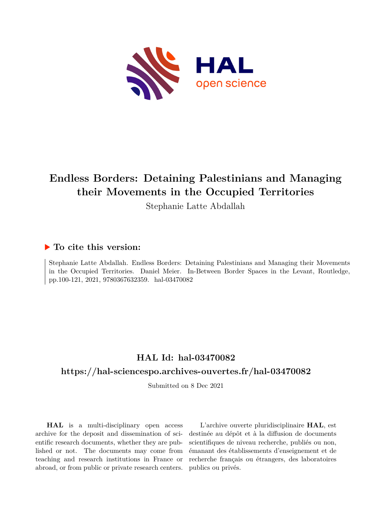

# **Endless Borders: Detaining Palestinians and Managing their Movements in the Occupied Territories**

Stephanie Latte Abdallah

### **To cite this version:**

Stephanie Latte Abdallah. Endless Borders: Detaining Palestinians and Managing their Movements in the Occupied Territories. Daniel Meier. In-Between Border Spaces in the Levant, Routledge, pp.100-121, 2021, 9780367632359. hal-03470082

## **HAL Id: hal-03470082**

### **<https://hal-sciencespo.archives-ouvertes.fr/hal-03470082>**

Submitted on 8 Dec 2021

**HAL** is a multi-disciplinary open access archive for the deposit and dissemination of scientific research documents, whether they are published or not. The documents may come from teaching and research institutions in France or abroad, or from public or private research centers.

L'archive ouverte pluridisciplinaire **HAL**, est destinée au dépôt et à la diffusion de documents scientifiques de niveau recherche, publiés ou non, émanant des établissements d'enseignement et de recherche français ou étrangers, des laboratoires publics ou privés.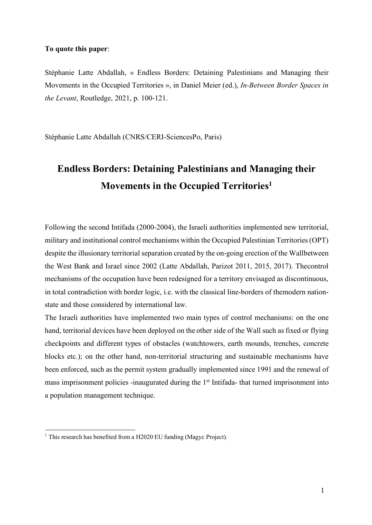#### **To quote this paper**:

Stéphanie Latte Abdallah, « Endless Borders: Detaining Palestinians and Managing their Movements in the Occupied Territories », in Daniel Meier (ed.), *In-Between Border Spaces in the Levant*, Routledge, 2021, p. 100-121.

Stéphanie Latte Abdallah (CNRS/CERI-SciencesPo, Paris)

# **Endless Borders: Detaining Palestinians and Managing their Movements in the Occupied Territories1**

Following the second Intifada (2000-2004), the Israeli authorities implemented new territorial, military and institutional control mechanisms within the Occupied Palestinian Territories(OPT) despite the illusionary territorial separation created by the on-going erection of the Wallbetween the West Bank and Israel since 2002 (Latte Abdallah, Parizot 2011, 2015, 2017). Thecontrol mechanisms of the occupation have been redesigned for a territory envisaged as discontinuous, in total contradiction with border logic, i.e. with the classical line-borders of themodern nationstate and those considered by international law.

The Israeli authorities have implemented two main types of control mechanisms: on the one hand, territorial devices have been deployed on the other side of the Wall such as fixed or flying checkpoints and different types of obstacles (watchtowers, earth mounds, trenches, concrete blocks etc.); on the other hand, non-territorial structuring and sustainable mechanisms have been enforced, such as the permit system gradually implemented since 1991 and the renewal of mass imprisonment policies -inaugurated during the 1<sup>st</sup> Intifada- that turned imprisonment into a population management technique.

<sup>&</sup>lt;sup>1</sup> This research has benefited from a H2020 EU funding (Magyc Project).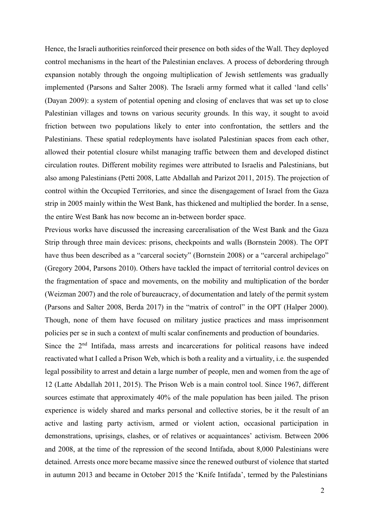Hence, the Israeli authorities reinforced their presence on both sides of the Wall. They deployed control mechanisms in the heart of the Palestinian enclaves. A process of debordering through expansion notably through the ongoing multiplication of Jewish settlements was gradually implemented (Parsons and Salter 2008). The Israeli army formed what it called 'land cells' (Dayan 2009): a system of potential opening and closing of enclaves that was set up to close Palestinian villages and towns on various security grounds. In this way, it sought to avoid friction between two populations likely to enter into confrontation, the settlers and the Palestinians. These spatial redeployments have isolated Palestinian spaces from each other, allowed their potential closure whilst managing traffic between them and developed distinct circulation routes. Different mobility regimes were attributed to Israelis and Palestinians, but also among Palestinians (Petti 2008, Latte Abdallah and Parizot 2011, 2015). The projection of control within the Occupied Territories, and since the disengagement of Israel from the Gaza strip in 2005 mainly within the West Bank, has thickened and multiplied the border. In a sense, the entire West Bank has now become an in-between border space.

Previous works have discussed the increasing carceralisation of the West Bank and the Gaza Strip through three main devices: prisons, checkpoints and walls (Bornstein 2008). The OPT have thus been described as a "carceral society" (Bornstein 2008) or a "carceral archipelago" (Gregory 2004, Parsons 2010). Others have tackled the impact of territorial control devices on the fragmentation of space and movements, on the mobility and multiplication of the border (Weizman 2007) and the role of bureaucracy, of documentation and lately of the permit system (Parsons and Salter 2008, Berda 2017) in the "matrix of control" in the OPT (Halper 2000). Though, none of them have focused on military justice practices and mass imprisonment policies per se in such a context of multi scalar confinements and production of boundaries.

Since the 2<sup>nd</sup> Intifada, mass arrests and incarcerations for political reasons have indeed reactivated what I called a Prison Web, which is both a reality and a virtuality, i.e. the suspended legal possibility to arrest and detain a large number of people, men and women from the age of 12 (Latte Abdallah 2011, 2015). The Prison Web is a main control tool. Since 1967, different sources estimate that approximately 40% of the male population has been jailed. The prison experience is widely shared and marks personal and collective stories, be it the result of an active and lasting party activism, armed or violent action, occasional participation in demonstrations, uprisings, clashes, or of relatives or acquaintances' activism. Between 2006 and 2008, at the time of the repression of the second Intifada, about 8,000 Palestinians were detained. Arrests once more became massive since the renewed outburst of violence that started in autumn 2013 and became in October 2015 the 'Knife Intifada', termed by the Palestinians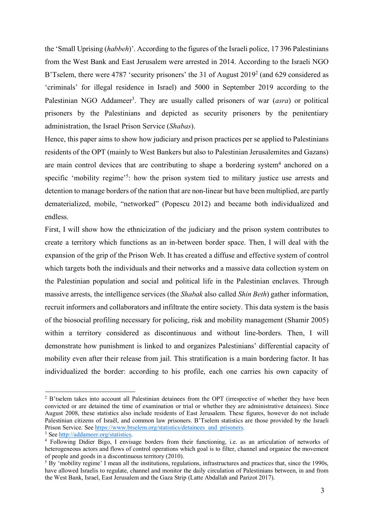the 'Small Uprising (*habbeh*)'. According to the figures of the Israeli police, 17 396 Palestinians from the West Bank and East Jerusalem were arrested in 2014. According to the Israeli NGO B'Tselem, there were 4787 'security prisoners' the 31 of August 2019<sup>2</sup> (and 629 considered as 'criminals' for illegal residence in Israel) and 5000 in September 2019 according to the Palestinian NGO Addameer<sup>3</sup>. They are usually called prisoners of war (*asra*) or political prisoners by the Palestinians and depicted as security prisoners by the penitentiary administration, the Israel Prison Service (*Shabas*).

Hence, this paper aims to show how judiciary and prison practices per se applied to Palestinians residents of the OPT (mainly to West Bankers but also to Palestinian Jerusalemites and Gazans) are main control devices that are contributing to shape a bordering system<sup>4</sup> anchored on a specific 'mobility regime'<sup>5</sup>: how the prison system tied to military justice use arrests and detention to manage borders of the nation that are non-linear but have been multiplied, are partly dematerialized, mobile, "networked" (Popescu 2012) and became both individualized and endless.

First, I will show how the ethnicization of the judiciary and the prison system contributes to create a territory which functions as an in-between border space. Then, I will deal with the expansion of the grip of the Prison Web. It has created a diffuse and effective system of control which targets both the individuals and their networks and a massive data collection system on the Palestinian population and social and political life in the Palestinian enclaves. Through massive arrests, the intelligence services (the *Shabak* also called *Shin Beth*) gather information, recruit informers and collaborators and infiltrate the entire society. This data system is the basis of the biosocial profiling necessary for policing, risk and mobility management (Shamir 2005) within a territory considered as discontinuous and without line-borders. Then, I will demonstrate how punishment is linked to and organizes Palestinians' differential capacity of mobility even after their release from jail. This stratification is a main bordering factor. It has individualized the border: according to his profile, each one carries his own capacity of

<sup>&</sup>lt;sup>2</sup> B'tselem takes into account all Palestinian detainees from the OPT (irrespective of whether they have been convicted or are detained the time of examination or trial or whether they are administrative detainees). Since August 2008, these statistics also include residents of East Jerusalem. These figures, however do not include Palestinian citizens of Israël, and common law prisoners. B'Tselem statistics are those provided by the Israeli Prison Service. See https://www.btselem.org/statistics/detainees\_and\_prisoners. <sup>3</sup> See http://addameer.org/statistics.

<sup>4</sup> Following Didier Bigo, I envisage borders from their functioning, i.e. as an articulation of networks of heterogeneous actors and flows of control operations which goal is to filter, channel and organize the movement of people and goods in a discontinuous territory (2010).

<sup>&</sup>lt;sup>5</sup> By 'mobility regime' I mean all the institutions, regulations, infrastructures and practices that, since the 1990s, have allowed Israelis to regulate, channel and monitor the daily circulation of Palestinians between, in and from the West Bank, Israel, East Jerusalem and the Gaza Strip (Latte Abdallah and Parizot 2017).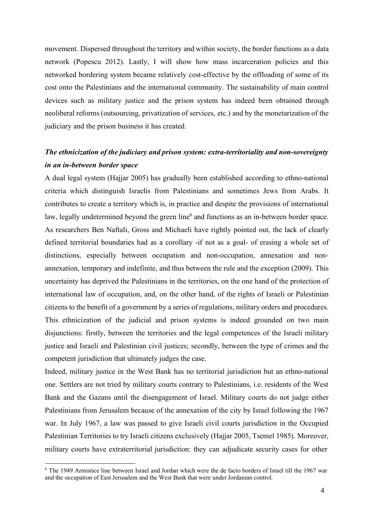movement. Dispersed throughout the territory and within society, the border functions as a data network (Popescu 2012). Lastly, I will show how mass incarceration policies and this networked bordering system became relatively cost-effective by the offloading of some of its cost onto the Palestinians and the international community. The sustainability of main control devices such as military justice and the prison system has indeed been obtained through neoliberal reforms(outsourcing, privatization of services, etc.) and by the monetarization of the judiciary and the prison business it has created.

## *The ethnicization of the judiciary and prison system: extra-territoriality and non-sovereignty in an in-between border space*

A dual legal system (Hajjar 2005) has gradually been established according to ethno-national criteria which distinguish Israelis from Palestinians and sometimes Jews from Arabs. It contributes to create a territory which is, in practice and despite the provisions of international law, legally undetermined beyond the green line<sup>6</sup> and functions as an in-between border space. As researchers Ben Naftali, Gross and Michaeli have rightly pointed out, the lack of clearly defined territorial boundaries had as a corollary -if not as a goal- of erasing a whole set of distinctions, especially between occupation and non-occupation, annexation and nonannexation, temporary and indefinite, and thus between the rule and the exception (2009). This uncertainty has deprived the Palestinians in the territories, on the one hand of the protection of international law of occupation, and, on the other hand, of the rights of Israeli or Palestinian citizens to the benefit of a government by a series of regulations, military orders and procedures. This ethnicization of the judicial and prison systems is indeed grounded on two main disjunctions: firstly, between the territories and the legal competences of the Israeli military justice and Israeli and Palestinian civil justices; secondly, between the type of crimes and the competent jurisdiction that ultimately judges the case.

Indeed, military justice in the West Bank has no territorial jurisdiction but an ethno-national one. Settlers are not tried by military courts contrary to Palestinians, i.e. residents of the West Bank and the Gazans until the disengagement of Israel. Military courts do not judge either Palestinians from Jerusalem because of the annexation of the city by Israel following the 1967 war. In July 1967, a law was passed to give Israeli civil courts jurisdiction in the Occupied Palestinian Territories to try Israeli citizens exclusively (Hajjar 2005, Tsemel 1985). Moreover, military courts have extraterritorial jurisdiction: they can adjudicate security cases for other

<sup>6</sup> The 1949 Armistice line between Israel and Jordan which were the de facto borders of Israel till the 1967 war and the occupation of East Jerusalem and the West Bank that were underJordanian control.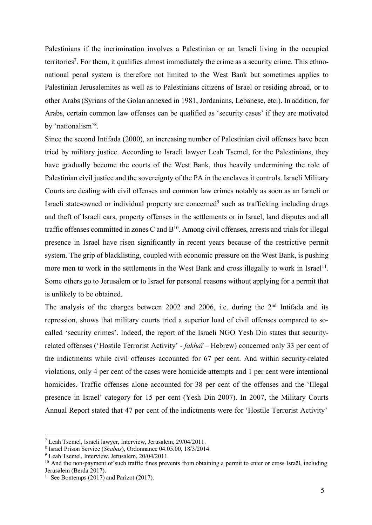Palestinians if the incrimination involves a Palestinian or an Israeli living in the occupied territories<sup>7</sup>. For them, it qualifies almost immediately the crime as a security crime. This ethnonational penal system is therefore not limited to the West Bank but sometimes applies to Palestinian Jerusalemites as well as to Palestinians citizens of Israel or residing abroad, or to other Arabs(Syrians of the Golan annexed in 1981, Jordanians, Lebanese, etc.). In addition, for Arabs, certain common law offenses can be qualified as 'security cases' if they are motivated by 'nationalism'<sup>8</sup>.

Since the second Intifada (2000), an increasing number of Palestinian civil offenses have been tried by military justice. According to Israeli lawyer Leah Tsemel, for the Palestinians, they have gradually become the courts of the West Bank, thus heavily undermining the role of Palestinian civil justice and the sovereignty of the PA in the enclaves it controls. Israeli Military Courts are dealing with civil offenses and common law crimes notably as soon as an Israeli or Israeli state-owned or individual property are concerned<sup>9</sup> such as trafficking including drugs and theft of Israeli cars, property offenses in the settlements or in Israel, land disputes and all traffic offenses committed in zones C and  $B<sup>10</sup>$ . Among civil offenses, arrests and trials for illegal presence in Israel have risen significantly in recent years because of the restrictive permit system. The grip of blacklisting, coupled with economic pressure on the West Bank, is pushing more men to work in the settlements in the West Bank and cross illegally to work in Israel<sup>11</sup>. Some others go to Jerusalem or to Israel for personal reasons without applying for a permit that is unlikely to be obtained.

The analysis of the charges between 2002 and 2006, i.e. during the 2<sup>nd</sup> Intifada and its repression, shows that military courts tried a superior load of civil offenses compared to socalled 'security crimes'. Indeed, the report of the Israeli NGO Yesh Din states that securityrelated offenses ('Hostile Terrorist Activity' - *fakhaï* – Hebrew) concerned only 33 per cent of the indictments while civil offenses accounted for 67 per cent. And within security-related violations, only 4 per cent of the cases were homicide attempts and 1 per cent were intentional homicides. Traffic offenses alone accounted for 38 per cent of the offenses and the 'Illegal presence in Israel' category for 15 per cent (Yesh Din 2007). In 2007, the Military Courts Annual Report stated that 47 per cent of the indictments were for 'Hostile Terrorist Activity'

<sup>7</sup> Leah Tsemel, Israeli lawyer, Interview, Jerusalem, 29/04/2011.

<sup>8</sup> Israel Prison Service (*Shabas*), Ordonnance 04.05.00, 18/3/2014.

<sup>9</sup> Leah Tsemel, Interview, Jerusalem, 20/04/2011.

<sup>&</sup>lt;sup>10</sup> And the non-payment of such traffic fines prevents from obtaining a permit to enter or cross Israël, including Jerusalem (Berda 2017).

<sup>&</sup>lt;sup>11</sup> See Bontemps (2017) and Parizot (2017).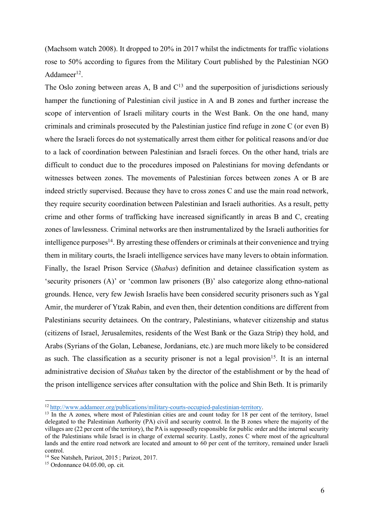(Machsom watch 2008). It dropped to 20% in 2017 whilst the indictments for traffic violations rose to 50% according to figures from the Military Court published by the Palestinian NGO Addameer $^{12}$ .

The Oslo zoning between areas A, B and  $C<sup>13</sup>$  and the superposition of jurisdictions seriously hamper the functioning of Palestinian civil justice in A and B zones and further increase the scope of intervention of Israeli military courts in the West Bank. On the one hand, many criminals and criminals prosecuted by the Palestinian justice find refuge in zone C (or even B) where the Israeli forces do not systematically arrest them either for political reasons and/or due to a lack of coordination between Palestinian and Israeli forces. On the other hand, trials are difficult to conduct due to the procedures imposed on Palestinians for moving defendants or witnesses between zones. The movements of Palestinian forces between zones A or B are indeed strictly supervised. Because they have to cross zones C and use the main road network, they require security coordination between Palestinian and Israeli authorities. As a result, petty crime and other forms of trafficking have increased significantly in areas B and C, creating zones of lawlessness. Criminal networks are then instrumentalized by the Israeli authorities for  $intelligence purposes<sup>14</sup>$ . By arresting these offenders or criminals at their convenience and trying them in military courts, the Israeli intelligence services have many levers to obtain information. Finally, the Israel Prison Service (*Shabas*) definition and detainee classification system as 'security prisoners (A)' or 'common law prisoners (B)' also categorize along ethno-national grounds. Hence, very few Jewish Israelis have been considered security prisoners such as Ygal Amir, the murderer of Ytzak Rabin, and even then, their detention conditions are different from Palestinians security detainees. On the contrary, Palestinians, whatever citizenship and status (citizens of Israel, Jerusalemites, residents of the West Bank or the Gaza Strip) they hold, and Arabs (Syrians of the Golan, Lebanese, Jordanians, etc.) are much more likely to be considered as such. The classification as a security prisoner is not a legal provision<sup>15</sup>. It is an internal administrative decision of *Shabas* taken by the director of the establishment or by the head of the prison intelligence services after consultation with the police and Shin Beth. It is primarily

<sup>12</sup> http://www.addameer.org/publications/military-courts-occupied-palestinian-territory.

<sup>&</sup>lt;sup>13</sup> In the A zones, where most of Palestinian cities are and count today for 18 per cent of the territory, Israel delegated to the Palestinian Authority (PA) civil and security control. In the B zones where the majority of the villages are (22 per cent of the territory), the PA is supposedly responsible for public order and the internal security of the Palestinians while Israel is in charge of external security. Lastly, zones C where most of the agricultural lands and the entire road network are located and amount to 60 per cent of the territory, remained under Israeli control.

<sup>&</sup>lt;sup>14</sup> See Natsheh, Parizot, 2015; Parizot, 2017.

<sup>15</sup> Ordonnance 04.05.00, op. cit*.*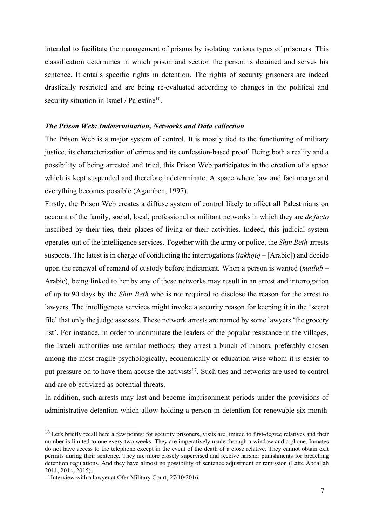intended to facilitate the management of prisons by isolating various types of prisoners. This classification determines in which prison and section the person is detained and serves his sentence. It entails specific rights in detention. The rights of security prisoners are indeed drastically restricted and are being re-evaluated according to changes in the political and security situation in Israel / Palestine<sup>16</sup>.

#### *The Prison Web: Indetermination, Networks and Data collection*

The Prison Web is a major system of control. It is mostly tied to the functioning of military justice, its characterization of crimes and its confession-based proof. Being both a reality and a possibility of being arrested and tried, this Prison Web participates in the creation of a space which is kept suspended and therefore indeterminate. A space where law and fact merge and everything becomes possible (Agamben, 1997).

Firstly, the Prison Web creates a diffuse system of control likely to affect all Palestinians on account of the family, social, local, professional or militant networksin which they are *de facto* inscribed by their ties, their places of living or their activities. Indeed, this judicial system operates out of the intelligence services. Together with the army or police, the *Shin Beth* arrests suspects. The latest is in charge of conducting the interrogations (*takhqiq* – [Arabic]) and decide upon the renewal of remand of custody before indictment. When a person is wanted (*matlub* – Arabic), being linked to her by any of these networks may result in an arrest and interrogation of up to 90 days by the *Shin Beth* who is not required to disclose the reason for the arrest to lawyers. The intelligences services might invoke a security reason for keeping it in the 'secret file' that only the judge assesses. These network arrests are named by some lawyers'the grocery list'. For instance, in order to incriminate the leaders of the popular resistance in the villages, the Israeli authorities use similar methods: they arrest a bunch of minors, preferably chosen among the most fragile psychologically, economically or education wise whom it is easier to put pressure on to have them accuse the activists<sup>17</sup>. Such ties and networks are used to control and are objectivized as potential threats.

In addition, such arrests may last and become imprisonment periods under the provisions of administrative detention which allow holding a person in detention for renewable six-month

<sup>&</sup>lt;sup>16</sup> Let's briefly recall here a few points: for security prisoners, visits are limited to first-degree relatives and their number is limited to one every two weeks. They are imperatively made through a window and a phone. Inmates do not have access to the telephone except in the event of the death of a close relative. They cannot obtain exit permits during their sentence. They are more closely supervised and receive harsher punishments for breaching detention regulations. And they have almost no possibility of sentence adjustment or remission (Latte Abdallah 2011, 2014, 2015).

<sup>&</sup>lt;sup>17</sup> Interview with a lawyer at Ofer Military Court, 27/10/2016.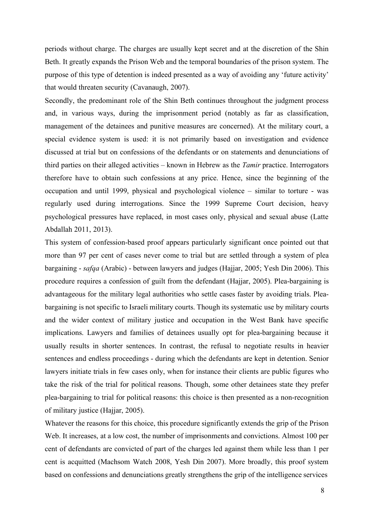periods without charge. The charges are usually kept secret and at the discretion of the Shin Beth. It greatly expands the Prison Web and the temporal boundaries of the prison system. The purpose of this type of detention is indeed presented as a way of avoiding any 'future activity' that would threaten security (Cavanaugh, 2007).

Secondly, the predominant role of the Shin Beth continues throughout the judgment process and, in various ways, during the imprisonment period (notably as far as classification, management of the detainees and punitive measures are concerned). At the military court, a special evidence system is used: it is not primarily based on investigation and evidence discussed at trial but on confessions of the defendants or on statements and denunciations of third parties on their alleged activities – known in Hebrew as the *Tamir* practice. Interrogators therefore have to obtain such confessions at any price. Hence, since the beginning of the occupation and until 1999, physical and psychological violence – similar to torture - was regularly used during interrogations. Since the 1999 Supreme Court decision, heavy psychological pressures have replaced, in most cases only, physical and sexual abuse (Latte Abdallah 2011, 2013).

This system of confession-based proof appears particularly significant once pointed out that more than 97 per cent of cases never come to trial but are settled through a system of plea bargaining - *safqa* (Arabic) - between lawyers and judges (Hajjar, 2005; Yesh Din 2006). This procedure requires a confession of guilt from the defendant (Hajjar, 2005). Plea-bargaining is advantageous for the military legal authorities who settle cases faster by avoiding trials. Pleabargaining is not specific to Israeli military courts. Though its systematic use by military courts and the wider context of military justice and occupation in the West Bank have specific implications. Lawyers and families of detainees usually opt for plea-bargaining because it usually results in shorter sentences. In contrast, the refusal to negotiate results in heavier sentences and endless proceedings - during which the defendants are kept in detention. Senior lawyers initiate trials in few cases only, when for instance their clients are public figures who take the risk of the trial for political reasons. Though, some other detainees state they prefer plea-bargaining to trial for political reasons: this choice is then presented as a non-recognition of military justice (Hajjar, 2005).

Whatever the reasons for this choice, this procedure significantly extends the grip of the Prison Web. It increases, at a low cost, the number of imprisonments and convictions. Almost 100 per cent of defendants are convicted of part of the charges led against them while less than 1 per cent is acquitted (Machsom Watch 2008, Yesh Din 2007). More broadly, this proof system based on confessions and denunciations greatly strengthens the grip of the intelligence services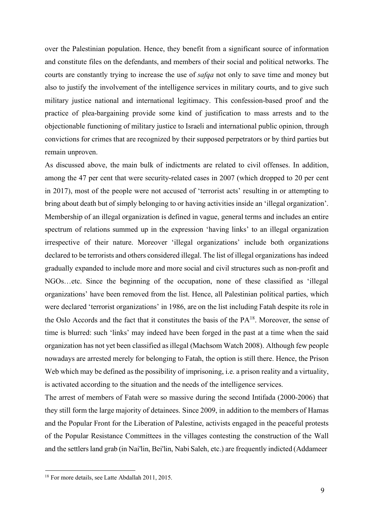over the Palestinian population. Hence, they benefit from a significant source of information and constitute files on the defendants, and members of their social and political networks. The courts are constantly trying to increase the use of *safqa* not only to save time and money but also to justify the involvement of the intelligence services in military courts, and to give such military justice national and international legitimacy. This confession-based proof and the practice of plea-bargaining provide some kind of justification to mass arrests and to the objectionable functioning of military justice to Israeli and international public opinion, through convictions for crimes that are recognized by their supposed perpetrators or by third parties but remain unproven.

As discussed above, the main bulk of indictments are related to civil offenses. In addition, among the 47 per cent that were security-related cases in 2007 (which dropped to 20 per cent in 2017), most of the people were not accused of 'terrorist acts' resulting in or attempting to bring about death but of simply belonging to or having activities inside an 'illegal organization'. Membership of an illegal organization is defined in vague, general terms and includes an entire spectrum of relations summed up in the expression 'having links' to an illegal organization irrespective of their nature. Moreover 'illegal organizations' include both organizations declared to be terrorists and others considered illegal. The list of illegal organizations has indeed gradually expanded to include more and more social and civil structures such as non-profit and NGOs…etc. Since the beginning of the occupation, none of these classified as 'illegal organizations' have been removed from the list. Hence, all Palestinian political parties, which were declared 'terrorist organizations' in 1986, are on the list including Fatah despite its role in the Oslo Accords and the fact that it constitutes the basis of the PA18. Moreover, the sense of time is blurred: such 'links' may indeed have been forged in the past at a time when the said organization has not yet been classified asillegal (Machsom Watch 2008). Although few people nowadays are arrested merely for belonging to Fatah, the option is still there. Hence, the Prison Web which may be defined as the possibility of imprisoning, i.e. a prison reality and a virtuality, is activated according to the situation and the needs of the intelligence services.

The arrest of members of Fatah were so massive during the second Intifada (2000-2006) that they still form the large majority of detainees. Since 2009, in addition to the members of Hamas and the Popular Front for the Liberation of Palestine, activists engaged in the peaceful protests of the Popular Resistance Committees in the villages contesting the construction of the Wall and the settlersland grab (in Nai'lin, Bei'lin, Nabi Saleh, etc.) are frequently indicted (Addameer

<sup>18</sup> For more details, see Latte Abdallah 2011, 2015.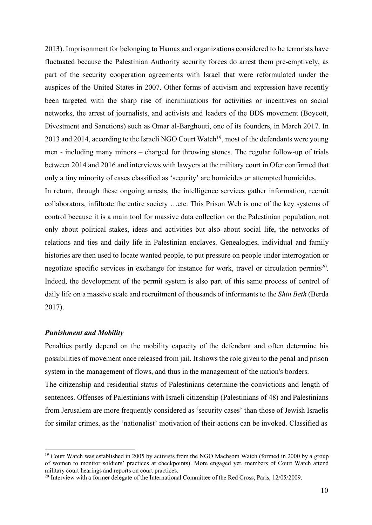2013). Imprisonment for belonging to Hamas and organizations considered to be terrorists have fluctuated because the Palestinian Authority security forces do arrest them pre-emptively, as part of the security cooperation agreements with Israel that were reformulated under the auspices of the United States in 2007. Other forms of activism and expression have recently been targeted with the sharp rise of incriminations for activities or incentives on social networks, the arrest of journalists, and activists and leaders of the BDS movement (Boycott, Divestment and Sanctions) such as Omar al-Barghouti, one of its founders, in March 2017. In 2013 and 2014, according to the Israeli NGO Court Watch<sup>19</sup>, most of the defendants were young men - including many minors – charged for throwing stones. The regular follow-up of trials between 2014 and 2016 and interviews with lawyers at the military court in Ofer confirmed that only a tiny minority of cases classified as 'security' are homicides or attempted homicides.

In return, through these ongoing arrests, the intelligence services gather information, recruit collaborators, infiltrate the entire society …etc. This Prison Web is one of the key systems of control because it is a main tool for massive data collection on the Palestinian population, not only about political stakes, ideas and activities but also about social life, the networks of relations and ties and daily life in Palestinian enclaves. Genealogies, individual and family histories are then used to locate wanted people, to put pressure on people under interrogation or negotiate specific services in exchange for instance for work, travel or circulation permits<sup>20</sup>. Indeed, the development of the permit system is also part of this same process of control of daily life on a massive scale and recruitment of thousands of informants to the *Shin Beth* (Berda 2017).

#### *Punishment and Mobility*

Penalties partly depend on the mobility capacity of the defendant and often determine his possibilities of movement once released from jail. Itshowsthe role given to the penal and prison system in the management of flows, and thus in the management of the nation's borders.

The citizenship and residential status of Palestinians determine the convictions and length of sentences. Offenses of Palestinians with Israeli citizenship (Palestinians of 48) and Palestinians from Jerusalem are more frequently considered as 'security cases' than those of Jewish Israelis for similar crimes, as the 'nationalist' motivation of their actions can be invoked. Classified as

<sup>&</sup>lt;sup>19</sup> Court Watch was established in 2005 by activists from the NGO Machsom Watch (formed in 2000 by a group of women to monitor soldiers' practices at checkpoints). More engaged yet, members of Court Watch attend military court hearings and reports on court practices.

<sup>&</sup>lt;sup>20</sup> Interview with a former delegate of the International Committee of the Red Cross, Paris, 12/05/2009.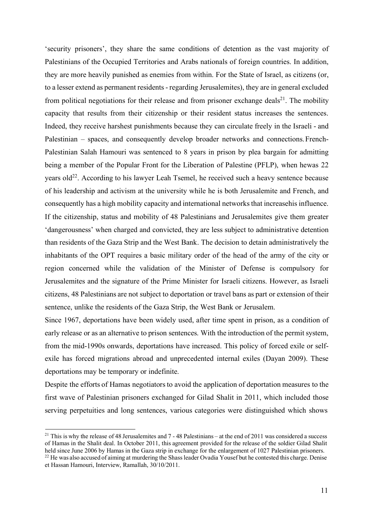'security prisoners', they share the same conditions of detention as the vast majority of Palestinians of the Occupied Territories and Arabs nationals of foreign countries. In addition, they are more heavily punished as enemies from within. For the State of Israel, as citizens (or, to a lesser extend as permanent residents- regarding Jerusalemites), they are in general excluded from political negotiations for their release and from prisoner exchange deals<sup>21</sup>. The mobility capacity that results from their citizenship or their resident status increases the sentences. Indeed, they receive harshest punishments because they can circulate freely in the Israeli - and Palestinian – spaces, and consequently develop broader networks and connections.French-Palestinian Salah Hamouri was sentenced to 8 years in prison by plea bargain for admitting being a member of the Popular Front for the Liberation of Palestine (PFLP), when hewas 22 years old<sup>22</sup>. According to his lawyer Leah Tsemel, he received such a heavy sentence because of his leadership and activism at the university while he is both Jerusalemite and French, and consequently has a high mobility capacity and international networks that increasehis influence. If the citizenship, status and mobility of 48 Palestinians and Jerusalemites give them greater 'dangerousness' when charged and convicted, they are less subject to administrative detention than residents of the Gaza Strip and the West Bank. The decision to detain administratively the inhabitants of the OPT requires a basic military order of the head of the army of the city or region concerned while the validation of the Minister of Defense is compulsory for Jerusalemites and the signature of the Prime Minister for Israeli citizens. However, as Israeli citizens, 48 Palestinians are not subject to deportation or travel bans as part or extension of their sentence, unlike the residents of the Gaza Strip, the West Bank or Jerusalem.

Since 1967, deportations have been widely used, after time spent in prison, as a condition of early release or as an alternative to prison sentences. With the introduction of the permit system, from the mid-1990s onwards, deportations have increased. This policy of forced exile or selfexile has forced migrations abroad and unprecedented internal exiles (Dayan 2009). These deportations may be temporary or indefinite.

Despite the efforts of Hamas negotiators to avoid the application of deportation measures to the first wave of Palestinian prisoners exchanged for Gilad Shalit in 2011, which included those serving perpetuities and long sentences, various categories were distinguished which shows

<sup>&</sup>lt;sup>21</sup> This is why the release of 48 Jerusalemites and  $7 - 48$  Palestinians – at the end of 2011 was considered a success of Hamas in the Shalit deal. In October 2011, this agreement provided for the release of the soldier Gilad Shalit held since June 2006 by Hamas in the Gaza strip in exchange for the enlargement of 1027 Palestinian prisoners. <sup>22</sup> He was also accused of aiming at murdering the Shass leader Ovadia Yousef but he contested this charge. Denise

et Hassan Hamouri, Interview, Ramallah, 30/10/2011.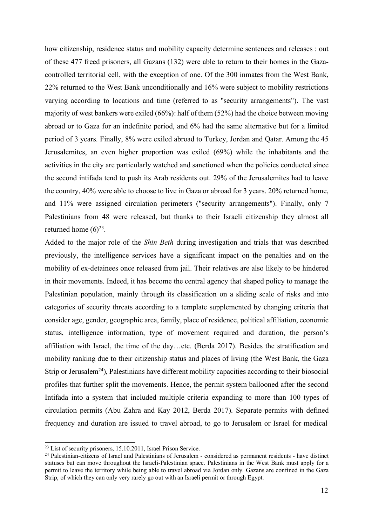how citizenship, residence status and mobility capacity determine sentences and releases : out of these 477 freed prisoners, all Gazans (132) were able to return to their homes in the Gazacontrolled territorial cell, with the exception of one. Of the 300 inmates from the West Bank, 22% returned to the West Bank unconditionally and 16% were subject to mobility restrictions varying according to locations and time (referred to as "security arrangements"). The vast majority of west bankers were exiled (66%): half ofthem (52%) had the choice between moving abroad or to Gaza for an indefinite period, and 6% had the same alternative but for a limited period of 3 years. Finally, 8% were exiled abroad to Turkey, Jordan and Qatar. Among the 45 Jerusalemites, an even higher proportion was exiled (69%) while the inhabitants and the activities in the city are particularly watched and sanctioned when the policies conducted since the second intifada tend to push its Arab residents out. 29% of the Jerusalemites had to leave the country, 40% were able to choose to live in Gaza or abroad for 3 years. 20% returned home, and 11% were assigned circulation perimeters ("security arrangements"). Finally, only 7 Palestinians from 48 were released, but thanks to their Israeli citizenship they almost all returned home  $(6)^{23}$ .

Added to the major role of the *Shin Beth* during investigation and trials that was described previously, the intelligence services have a significant impact on the penalties and on the mobility of ex-detainees once released from jail. Their relatives are also likely to be hindered in their movements. Indeed, it has become the central agency that shaped policy to manage the Palestinian population, mainly through its classification on a sliding scale of risks and into categories of security threats according to a template supplemented by changing criteria that consider age, gender, geographic area, family, place of residence, political affiliation, economic status, intelligence information, type of movement required and duration, the person's affiliation with Israel, the time of the day…etc. (Berda 2017). Besides the stratification and mobility ranking due to their citizenship status and places of living (the West Bank, the Gaza Strip or Jerusalem<sup>24</sup>), Palestinians have different mobility capacities according to their biosocial profiles that further split the movements. Hence, the permit system ballooned after the second Intifada into a system that included multiple criteria expanding to more than 100 types of circulation permits (Abu Zahra and Kay 2012, Berda 2017). Separate permits with defined frequency and duration are issued to travel abroad, to go to Jerusalem or Israel for medical

<sup>23</sup> List of security prisoners, 15.10.2011, Israel Prison Service.

<sup>&</sup>lt;sup>24</sup> Palestinian-citizens of Israel and Palestinians of Jerusalem - considered as permanent residents - have distinct statuses but can move throughout the Israeli-Palestinian space. Palestinians in the West Bank must apply for a permit to leave the territory while being able to travel abroad via Jordan only. Gazans are confined in the Gaza Strip, of which they can only very rarely go out with an Israeli permit or through Egypt.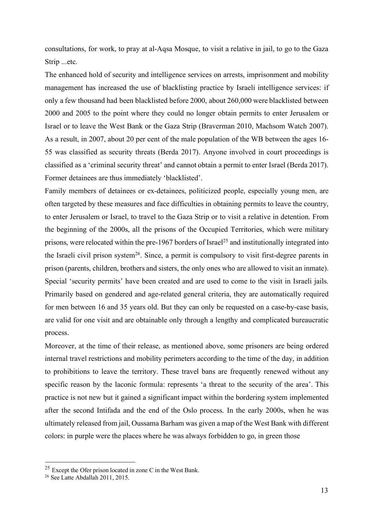consultations, for work, to pray at al-Aqsa Mosque, to visit a relative in jail, to go to the Gaza Strip ...etc.

The enhanced hold of security and intelligence services on arrests, imprisonment and mobility management has increased the use of blacklisting practice by Israeli intelligence services: if only a few thousand had been blacklisted before 2000, about 260,000 were blacklisted between 2000 and 2005 to the point where they could no longer obtain permits to enter Jerusalem or Israel or to leave the West Bank or the Gaza Strip (Braverman 2010, Machsom Watch 2007). As a result, in 2007, about 20 per cent of the male population of the WB between the ages 16- 55 was classified as security threats (Berda 2017). Anyone involved in court proceedings is classified as a 'criminal security threat' and cannot obtain a permit to enter Israel (Berda 2017). Former detainees are thus immediately 'blacklisted'.

Family members of detainees or ex-detainees, politicized people, especially young men, are often targeted by these measures and face difficulties in obtaining permits to leave the country, to enter Jerusalem or Israel, to travel to the Gaza Strip or to visit a relative in detention. From the beginning of the 2000s, all the prisons of the Occupied Territories, which were military prisons, were relocated within the pre-1967 borders of Israel<sup>25</sup> and institutionally integrated into the Israeli civil prison system<sup>26</sup>. Since, a permit is compulsory to visit first-degree parents in prison (parents, children, brothers and sisters, the only ones who are allowed to visit an inmate). Special 'security permits' have been created and are used to come to the visit in Israeli jails. Primarily based on gendered and age-related general criteria, they are automatically required for men between 16 and 35 years old. But they can only be requested on a case-by-case basis, are valid for one visit and are obtainable only through a lengthy and complicated bureaucratic process.

Moreover, at the time of their release, as mentioned above, some prisoners are being ordered internal travel restrictions and mobility perimeters according to the time of the day, in addition to prohibitions to leave the territory. These travel bans are frequently renewed without any specific reason by the laconic formula: represents 'a threat to the security of the area'. This practice is not new but it gained a significant impact within the bordering system implemented after the second Intifada and the end of the Oslo process. In the early 2000s, when he was ultimately released from jail, Oussama Barham was given a map of the West Bank with different colors: in purple were the places where he was always forbidden to go, in green those

 $25$  Except the Ofer prison located in zone C in the West Bank.

<sup>26</sup> See Latte Abdallah 2011, 2015.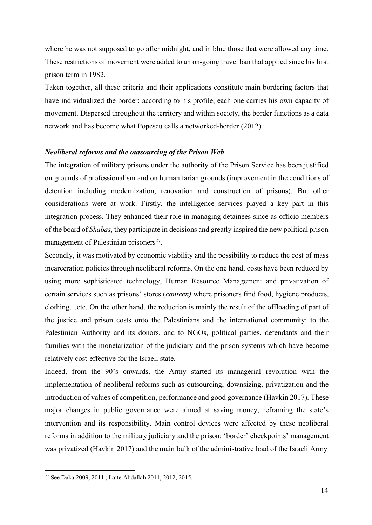where he was not supposed to go after midnight, and in blue those that were allowed any time. These restrictions of movement were added to an on-going travel ban that applied since his first prison term in 1982.

Taken together, all these criteria and their applications constitute main bordering factors that have individualized the border: according to his profile, each one carries his own capacity of movement. Dispersed throughout the territory and within society, the border functions as a data network and has become what Popescu calls a networked-border (2012).

#### *Neoliberal reforms and the outsourcing of the Prison Web*

The integration of military prisons under the authority of the Prison Service has been justified on grounds of professionalism and on humanitarian grounds (improvement in the conditions of detention including modernization, renovation and construction of prisons). But other considerations were at work. Firstly, the intelligence services played a key part in this integration process. They enhanced their role in managing detainees since as officio members of the board of *Shabas*, they participate in decisions and greatly inspired the new political prison management of Palestinian prisoners<sup>27</sup>.

Secondly, it was motivated by economic viability and the possibility to reduce the cost of mass incarceration policies through neoliberal reforms. On the one hand, costs have been reduced by using more sophisticated technology, Human Resource Management and privatization of certain services such as prisons' stores (*canteen)* where prisoners find food, hygiene products, clothing…etc. On the other hand, the reduction is mainly the result of the offloading of part of the justice and prison costs onto the Palestinians and the international community: to the Palestinian Authority and its donors, and to NGOs, political parties, defendants and their families with the monetarization of the judiciary and the prison systems which have become relatively cost-effective for the Israeli state.

Indeed, from the 90's onwards, the Army started its managerial revolution with the implementation of neoliberal reforms such as outsourcing, downsizing, privatization and the introduction of values of competition, performance and good governance (Havkin 2017). These major changes in public governance were aimed at saving money, reframing the state's intervention and its responsibility. Main control devices were affected by these neoliberal reforms in addition to the military judiciary and the prison: 'border' checkpoints' management was privatized (Havkin 2017) and the main bulk of the administrative load of the Israeli Army

<sup>27</sup> See Daka 2009, 2011 ; Latte Abdallah 2011, 2012, 2015.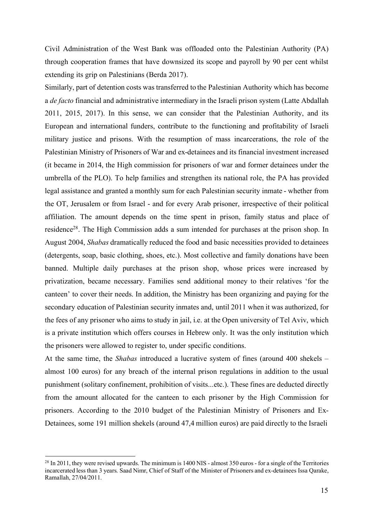Civil Administration of the West Bank was offloaded onto the Palestinian Authority (PA) through cooperation frames that have downsized its scope and payroll by 90 per cent whilst extending its grip on Palestinians (Berda 2017).

Similarly, part of detention costs was transferred to the Palestinian Authority which has become a *de facto* financial and administrative intermediary in the Israeli prison system (Latte Abdallah 2011, 2015, 2017). In this sense, we can consider that the Palestinian Authority, and its European and international funders, contribute to the functioning and profitability of Israeli military justice and prisons. With the resumption of mass incarcerations, the role of the Palestinian Ministry of Prisoners of War and ex-detainees and its financial investment increased (it became in 2014, the High commission for prisoners of war and former detainees under the umbrella of the PLO). To help families and strengthen its national role, the PA has provided legal assistance and granted a monthly sum for each Palestinian security inmate - whether from the OT, Jerusalem or from Israel - and for every Arab prisoner, irrespective of their political affiliation. The amount depends on the time spent in prison, family status and place of residence28. The High Commission adds a sum intended for purchases at the prison shop. In August 2004, *Shabas* dramatically reduced the food and basic necessities provided to detainees (detergents, soap, basic clothing, shoes, etc.). Most collective and family donations have been banned. Multiple daily purchases at the prison shop, whose prices were increased by privatization, became necessary. Families send additional money to their relatives 'for the canteen' to cover their needs. In addition, the Ministry has been organizing and paying for the secondary education of Palestinian security inmates and, until 2011 when it was authorized, for the fees of any prisoner who aims to study in jail, i.e. at the Open university of Tel Aviv, which is a private institution which offers courses in Hebrew only. It was the only institution which the prisoners were allowed to register to, under specific conditions.

At the same time, the *Shabas* introduced a lucrative system of fines (around 400 shekels – almost 100 euros) for any breach of the internal prison regulations in addition to the usual punishment (solitary confinement, prohibition of visits...etc.). These fines are deducted directly from the amount allocated for the canteen to each prisoner by the High Commission for prisoners. According to the 2010 budget of the Palestinian Ministry of Prisoners and Ex-Detainees, some 191 million shekels (around 47,4 million euros) are paid directly to the Israeli

<sup>&</sup>lt;sup>28</sup> In 2011, they were revised upwards. The minimum is 1400 NIS - almost 350 euros - for a single of the Territories incarcerated less than 3 years. Saad Nimr, Chief of Staff of the Minister of Prisoners and ex-detainees Issa Qarake, Ramallah, 27/04/2011.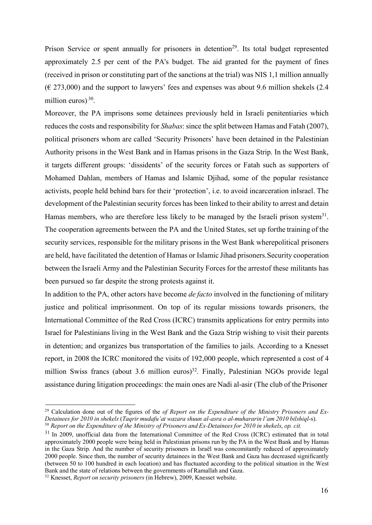Prison Service or spent annually for prisoners in detention<sup>29</sup>. Its total budget represented approximately 2.5 per cent of the PA's budget. The aid granted for the payment of fines (received in prison or constituting part of the sanctions at the trial) was NIS 1,1 million annually  $(\text{\textsterling} 273,000)$  and the support to lawyers' fees and expenses was about 9.6 million shekels (2.4) million euros)<sup>30</sup>.

Moreover, the PA imprisons some detainees previously held in Israeli penitentiaries which reduces the costs and responsibility for *Shabas*: since the split between Hamas and Fatah (2007), political prisoners whom are called 'Security Prisoners' have been detained in the Palestinian Authority prisons in the West Bank and in Hamas prisons in the Gaza Strip. In the West Bank, it targets different groups: 'dissidents' of the security forces or Fatah such as supporters of Mohamed Dahlan, members of Hamas and Islamic Djihad, some of the popular resistance activists, people held behind bars for their 'protection', i.e. to avoid incarceration inIsrael. The development of the Palestinian security forces has been linked to their ability to arrest and detain Hamas members, who are therefore less likely to be managed by the Israeli prison system<sup>31</sup>. The cooperation agreements between the PA and the United States, set up forthe training of the security services, responsible for the military prisons in the West Bank wherepolitical prisoners are held, have facilitated the detention of Hamas or Islamic Jihad prisoners.Security cooperation between the Israeli Army and the Palestinian Security Forces for the arrestof these militants has been pursued so far despite the strong protests against it.

In addition to the PA, other actors have become *de facto* involved in the functioning of military justice and political imprisonment. On top of its regular missions towards prisoners, the International Committee of the Red Cross (ICRC) transmits applications for entry permits into Israel for Palestinians living in the West Bank and the Gaza Strip wishing to visit their parents in detention; and organizes bus transportation of the families to jails. According to a Knesset report, in 2008 the ICRC monitored the visits of 192,000 people, which represented a cost of 4 million Swiss francs (about 3.6 million euros)<sup>32</sup>. Finally, Palestinian NGOs provide legal assistance during litigation proceedings: the main ones are Nadi al-asir (The club of the Prisoner

<sup>29</sup> Calculation done out of the figures of the *of Report on the Expenditure of the Ministry Prisoners and Ex-Detainees for 2010 in shekels* (*Taqrir mudafu'at wazara shuun al-asra o al-muhararin l'am 2010 bilshiql*-s). <sup>30</sup> *Report on the Expenditure of the Ministry of Prisoners and Ex-Detainees for 2010 in shekels*, *op. cit.*

<sup>&</sup>lt;sup>31</sup> In 2009, unofficial data from the International Committee of the Red Cross (ICRC) estimated that in total approximately 2000 people were being held in Palestinian prisons run by the PA in the West Bank and by Hamas in the Gaza Strip. And the number of security prisoners in Israël was concomitantly reduced of approximately 2000 people. Since then, the number of security detainees in the West Bank and Gaza has decreased significantly (between 50 to 100 hundred in each location) and has fluctuated according to the political situation in the West Bank and the state of relations between the governments of Ramallah and Gaza.

<sup>32</sup> Knesset, *Report on security prisoners* (in Hebrew), 2009, Knesset website.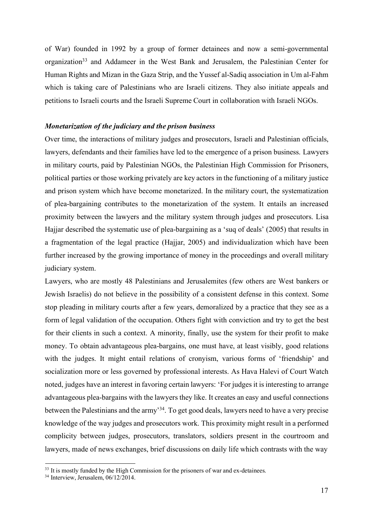of War) founded in 1992 by a group of former detainees and now a semi-governmental organization<sup>33</sup> and Addameer in the West Bank and Jerusalem, the Palestinian Center for Human Rights and Mizan in the Gaza Strip, and the Yussef al-Sadiq association in Um al-Fahm which is taking care of Palestinians who are Israeli citizens. They also initiate appeals and petitions to Israeli courts and the Israeli Supreme Court in collaboration with Israeli NGOs.

#### *Monetarization of the judiciary and the prison business*

Over time, the interactions of military judges and prosecutors, Israeli and Palestinian officials, lawyers, defendants and their families have led to the emergence of a prison business. Lawyers in military courts, paid by Palestinian NGOs, the Palestinian High Commission for Prisoners, political parties or those working privately are key actors in the functioning of a military justice and prison system which have become monetarized. In the military court, the systematization of plea-bargaining contributes to the monetarization of the system. It entails an increased proximity between the lawyers and the military system through judges and prosecutors. Lisa Hajjar described the systematic use of plea-bargaining as a 'suq of deals' (2005) that results in a fragmentation of the legal practice (Hajjar, 2005) and individualization which have been further increased by the growing importance of money in the proceedings and overall military judiciary system.

Lawyers, who are mostly 48 Palestinians and Jerusalemites (few others are West bankers or Jewish Israelis) do not believe in the possibility of a consistent defense in this context. Some stop pleading in military courts after a few years, demoralized by a practice that they see as a form of legal validation of the occupation. Others fight with conviction and try to get the best for their clients in such a context. A minority, finally, use the system for their profit to make money. To obtain advantageous plea-bargains, one must have, at least visibly, good relations with the judges. It might entail relations of cronyism, various forms of 'friendship' and socialization more or less governed by professional interests. As Hava Halevi of Court Watch noted, judges have an interest in favoring certain lawyers: 'For judges it is interesting to arrange advantageous plea-bargains with the lawyers they like. It creates an easy and useful connections between the Palestinians and the army'34. To get good deals, lawyers need to have a very precise knowledge of the way judges and prosecutors work. This proximity might result in a performed complicity between judges, prosecutors, translators, soldiers present in the courtroom and lawyers, made of news exchanges, brief discussions on daily life which contrasts with the way

<sup>&</sup>lt;sup>33</sup> It is mostly funded by the High Commission for the prisoners of war and ex-detainees.

 $34$  Interview, Jerusalem,  $06/12/2014$ .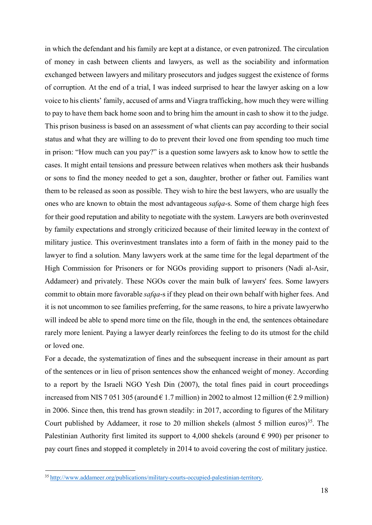in which the defendant and his family are kept at a distance, or even patronized. The circulation of money in cash between clients and lawyers, as well as the sociability and information exchanged between lawyers and military prosecutors and judges suggest the existence of forms of corruption. At the end of a trial, I was indeed surprised to hear the lawyer asking on a low voice to his clients' family, accused of arms and Viagra trafficking, how much they were willing to pay to have them back home soon and to bring him the amount in cash to show it to the judge. This prison business is based on an assessment of what clients can pay according to their social status and what they are willing to do to prevent their loved one from spending too much time in prison: "How much can you pay?" is a question some lawyers ask to know how to settle the cases. It might entail tensions and pressure between relatives when mothers ask their husbands or sons to find the money needed to get a son, daughter, brother or father out. Families want them to be released as soon as possible. They wish to hire the best lawyers, who are usually the ones who are known to obtain the most advantageous *safqa*-s. Some of them charge high fees for their good reputation and ability to negotiate with the system. Lawyers are both overinvested by family expectations and strongly criticized because of their limited leeway in the context of military justice. This overinvestment translates into a form of faith in the money paid to the lawyer to find a solution. Many lawyers work at the same time for the legal department of the High Commission for Prisoners or for NGOs providing support to prisoners (Nadi al-Asir, Addameer) and privately. These NGOs cover the main bulk of lawyers' fees. Some lawyers commit to obtain more favorable *safqa*-s if they plead on their own behalf with higher fees. And it is not uncommon to see families preferring, for the same reasons, to hire a private lawyerwho will indeed be able to spend more time on the file, though in the end, the sentences obtainedare rarely more lenient. Paying a lawyer dearly reinforces the feeling to do its utmost for the child or loved one.

For a decade, the systematization of fines and the subsequent increase in their amount as part of the sentences or in lieu of prison sentences show the enhanced weight of money. According to a report by the Israeli NGO Yesh Din (2007), the total fines paid in court proceedings increased from NIS 7 051 305 (around  $\epsilon$  1.7 million) in 2002 to almost 12 million ( $\epsilon$  2.9 million) in 2006. Since then, this trend has grown steadily: in 2017, according to figures of the Military Court published by Addameer, it rose to 20 million shekels (almost 5 million euros)<sup>35</sup>. The Palestinian Authority first limited its support to 4,000 shekels (around  $\epsilon$  990) per prisoner to pay court fines and stopped it completely in 2014 to avoid covering the cost of military justice.

<sup>35</sup> http://www.addameer.org/publications/military-courts-occupied-palestinian-territory.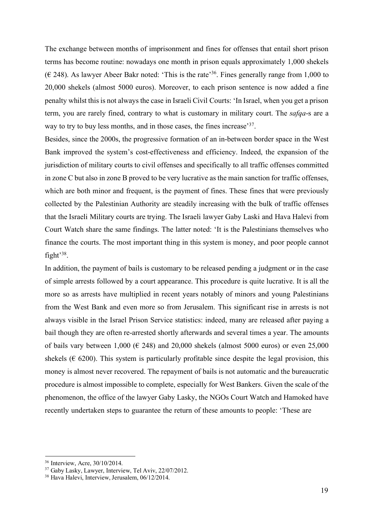The exchange between months of imprisonment and fines for offenses that entail short prison terms has become routine: nowadays one month in prison equals approximately 1,000 shekels  $(\infty)$  248). As lawyer Abeer Bakr noted: 'This is the rate<sup>36</sup>. Fines generally range from 1,000 to 20,000 shekels (almost 5000 euros). Moreover, to each prison sentence is now added a fine penalty whilst thisis not always the case in Israeli Civil Courts: 'In Israel, when you get a prison term, you are rarely fined, contrary to what is customary in military court. The *safqa*-s are a way to try to buy less months, and in those cases, the fines increase<sup>37</sup>.

Besides, since the 2000s, the progressive formation of an in-between border space in the West Bank improved the system's cost-effectiveness and efficiency. Indeed, the expansion of the jurisdiction of military courts to civil offenses and specifically to all traffic offenses committed in zone C but also in zone B proved to be very lucrative as the main sanction for traffic offenses, which are both minor and frequent, is the payment of fines. These fines that were previously collected by the Palestinian Authority are steadily increasing with the bulk of traffic offenses that the Israeli Military courts are trying. The Israeli lawyer Gaby Laski and Hava Halevi from Court Watch share the same findings. The latter noted: 'It is the Palestinians themselves who finance the courts. The most important thing in this system is money, and poor people cannot fight'38.

In addition, the payment of bails is customary to be released pending a judgment or in the case of simple arrests followed by a court appearance. This procedure is quite lucrative. It is all the more so as arrests have multiplied in recent years notably of minors and young Palestinians from the West Bank and even more so from Jerusalem. This significant rise in arrests is not always visible in the Israel Prison Service statistics: indeed, many are released after paying a bail though they are often re-arrested shortly afterwards and several times a year. The amounts of bails vary between 1,000 ( $\in$  248) and 20,000 shekels (almost 5000 euros) or even 25,000 shekels ( $\epsilon$  6200). This system is particularly profitable since despite the legal provision, this money is almost never recovered. The repayment of bails is not automatic and the bureaucratic procedure is almost impossible to complete, especially for West Bankers. Given the scale of the phenomenon, the office of the lawyer Gaby Lasky, the NGOs Court Watch and Hamoked have recently undertaken steps to guarantee the return of these amounts to people: 'These are

<sup>36</sup> Interview, Acre, 30/10/2014.

<sup>37</sup> Gaby Lasky, Lawyer, Interview, Tel Aviv, 22/07/2012.

<sup>38</sup> Hava Halevi, Interview, Jerusalem, 06/12/2014.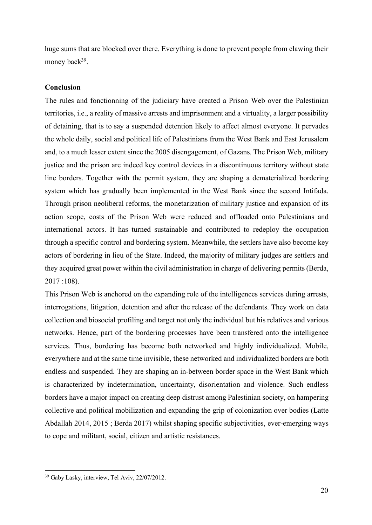huge sums that are blocked over there. Everything is done to prevent people from clawing their money back<sup>39</sup>.

#### **Conclusion**

The rules and fonctionning of the judiciary have created a Prison Web over the Palestinian territories, i.e., a reality of massive arrests and imprisonment and a virtuality, a larger possibility of detaining, that is to say a suspended detention likely to affect almost everyone. It pervades the whole daily, social and political life of Palestinians from the West Bank and East Jerusalem and, to a much lesser extent since the 2005 disengagement, of Gazans. The Prison Web, military justice and the prison are indeed key control devices in a discontinuous territory without state line borders. Together with the permit system, they are shaping a dematerialized bordering system which has gradually been implemented in the West Bank since the second Intifada. Through prison neoliberal reforms, the monetarization of military justice and expansion of its action scope, costs of the Prison Web were reduced and offloaded onto Palestinians and international actors. It has turned sustainable and contributed to redeploy the occupation through a specific control and bordering system. Meanwhile, the settlers have also become key actors of bordering in lieu of the State. Indeed, the majority of military judges are settlers and they acquired great power within the civil administration in charge of delivering permits(Berda, 2017 :108).

This Prison Web is anchored on the expanding role of the intelligences services during arrests, interrogations, litigation, detention and after the release of the defendants. They work on data collection and biosocial profiling and target not only the individual but his relatives and various networks. Hence, part of the bordering processes have been transfered onto the intelligence services. Thus, bordering has become both networked and highly individualized. Mobile, everywhere and at the same time invisible, these networked and individualized borders are both endless and suspended. They are shaping an in-between border space in the West Bank which is characterized by indetermination, uncertainty, disorientation and violence. Such endless borders have a major impact on creating deep distrust among Palestinian society, on hampering collective and political mobilization and expanding the grip of colonization over bodies (Latte Abdallah 2014, 2015 ; Berda 2017) whilst shaping specific subjectivities, ever-emerging ways to cope and militant, social, citizen and artistic resistances.

<sup>39</sup> Gaby Lasky, interview, Tel Aviv, 22/07/2012.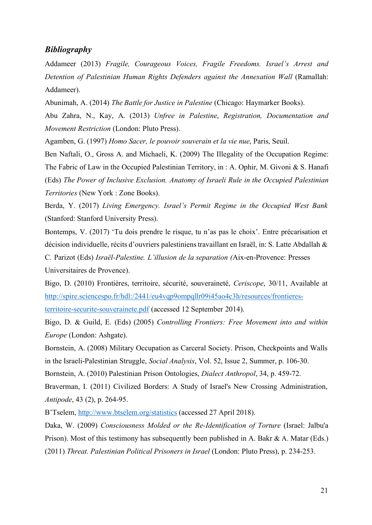#### *Bibliography*

Addameer (2013) *Fragile, Courageous Voices, Fragile Freedoms. Israel's Arrest and Detention of Palestinian Human Rights Defenders against the Annexation Wall* (Ramallah: Addameer).

Abunimah, A. (2014) *The Battle for Justice in Palestine* (Chicago: Haymarker Books).

Abu Zahra, N., Kay, A. (2013) *Unfree in Palestine*, *Registration, Documentation and Movement Restriction* (London: Pluto Press).

Agamben, G. (1997) *Homo Sacer, le pouvoir souverain et la vie nue*, Paris, Seuil.

Ben Naftali, O., Gross A. and Michaeli, K. (2009) The Illegality of the Occupation Regime: The Fabric of Law in the Occupied Palestinian Territory, in : A. Ophir, M. Givoni & S. Hanafi (Eds) *The Power of Inclusive Exclusion. Anatomy of Israeli Rule in the Occupied Palestinian Territories* (New York : Zone Books).

Berda, Y. (2017) *Living Emergency. Israel's Permit Regime in the Occupied West Bank* (Stanford: Stanford University Press).

Bontemps, V. (2017) 'Tu dois prendre le risque, tu n'as pas le choix'. Entre précarisation et décision individuelle, récits d'ouvriers palestinienstravaillant en Israël, in: S. Latte Abdallah & C. Parizot (Eds) *Israël-Palestine. L'illusion de la separation (*Aix-en-Provence: Presses Universitaires de Provence).

Bigo, D. (2010) Frontières, territoire, sécurité, souveraineté, *Ceriscope*, 30/11, Available at http://spire.sciencespo.fr/hdl:/2441/eu4vqp9ompqllr09i45ao4c3h/resources/frontieres-

territoire-securite-souverainete.pdf (accessed 12 September 2014).

Bigo, D. & Guild, E. (Eds) (2005) *Controlling Frontiers: Free Movement into and within Europe* (London: Ashgate).

Bornstein, A. (2008) Military Occupation as Carceral Society. Prison, Checkpoints and Walls in the Israeli-Palestinian Struggle, *Social Analysis*, Vol. 52, Issue 2, Summer, p. 106-30.

Bornstein, A. (2010) Palestinian Prison Ontologies, *Dialect Anthropol*, 34, p. 459-72.

Braverman, I. (2011) Civilized Borders: A Study of Israel's New Crossing Administration, *Antipode*, 43 (2), p. 264-95.

B'Tselem, http://www.btselem.org/statistics (accessed 27 April 2018).

Daka, W. (2009) *Consciousness Molded or the Re-Identification of Torture* (Israel: Jalbu'a Prison). Most of this testimony has subsequently been published in A. Bakr & A. Matar (Eds.) (2011) *Threat. Palestinian Political Prisoners in Israel* (London: Pluto Press), p. 234-253.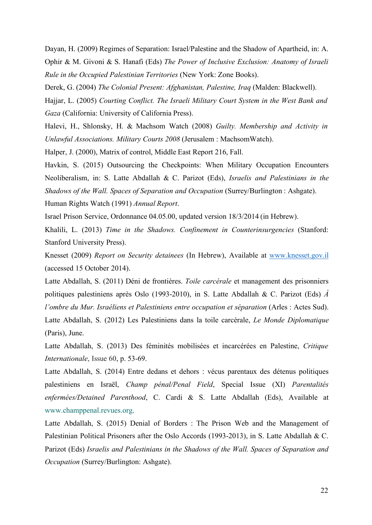Dayan, H. (2009) Regimes of Separation: Israel/Palestine and the Shadow of Apartheid, in: A. Ophir & M. Givoni & S. Hanafi (Eds) *The Power of Inclusive Exclusion: Anatomy of Israeli Rule in the Occupied Palestinian Territories* (New York: Zone Books).

Derek, G. (2004) *The Colonial Present: Afghanistan, Palestine, Iraq* (Malden: Blackwell).

Hajjar, L. (2005) *Courting Conflict. The Israeli Military Court System in the West Bank and Gaza* (California: University of California Press).

Halevi, H., Shlonsky, H. & Machsom Watch (2008) *Guilty. Membership and Activity in Unlawful Associations. Military Courts 2008* (Jerusalem : MachsomWatch).

Halper, J. (2000), Matrix of control, Middle East Report 216, Fall.

Havkin, S. (2015) Outsourcing the Checkpoints: When Military Occupation Encounters Neoliberalism, in: S. Latte Abdallah & C. Parizot (Eds), *Israelis and Palestinians in the Shadows of the Wall. Spaces of Separation and Occupation* (Surrey/Burlington : Ashgate).

Human Rights Watch (1991) *Annual Report*.

Israel Prison Service, Ordonnance 04.05.00, updated version 18/3/2014 (in Hebrew).

Khalili, L. (2013) *Time in the Shadows. Confinement in Counterinsurgencies* (Stanford: Stanford University Press).

Knesset (2009) *Report on Security detainees* (In Hebrew), Available at www.knesset.gov.il (accessed 15 October 2014).

Latte Abdallah, S. (2011) Déni de frontières. *Toile carcérale* et management des prisonniers politiques palestiniens après Oslo (1993-2010), in S. Latte Abdallah & C. Parizot (Eds) *À l'ombre du Mur. Israéliens et Palestiniens entre occupation et séparation* (Arles : Actes Sud). Latte Abdallah, S. (2012) Les Palestiniens dans la toile carcérale, *Le Monde Diplomatique* (Paris), June.

Latte Abdallah, S. (2013) Des féminités mobilisées et incarcérées en Palestine, *Critique Internationale*, Issue 60, p. 53-69.

Latte Abdallah, S. (2014) Entre dedans et dehors : vécus parentaux des détenus politiques palestiniens en Israël, *Champ pénal/Penal Field*, Special Issue (XI) *Parentalités enfermées/Detained Parenthood*, C. Cardi & S. Latte Abdallah (Eds), Available at www.champpenal.revues.org.

Latte Abdallah, S. (2015) Denial of Borders : The Prison Web and the Management of Palestinian Political Prisoners after the Oslo Accords (1993-2013), in S. Latte Abdallah & C. Parizot (Eds) *Israelis and Palestinians in the Shadows of the Wall. Spaces of Separation and Occupation* (Surrey/Burlington: Ashgate).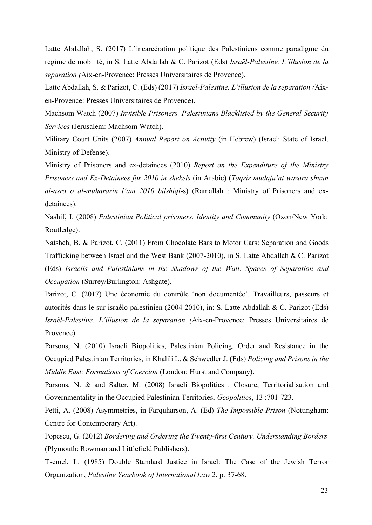Latte Abdallah, S. (2017) L'incarcération politique des Palestiniens comme paradigme du régime de mobilité, in S. Latte Abdallah & C. Parizot (Eds) *Israël-Palestine. L'illusion de la separation (*Aix-en-Provence: Presses Universitaires de Provence).

Latte Abdallah, S. & Parizot, C. (Eds) (2017) *Israël-Palestine. L'illusion de la separation (*Aixen-Provence: Presses Universitaires de Provence).

Machsom Watch (2007) *Invisible Prisoners. Palestinians Blacklisted by the General Security Services* (Jerusalem: Machsom Watch).

Military Court Units (2007) *Annual Report on Activity* (in Hebrew) (Israel: State of Israel, Ministry of Defense).

Ministry of Prisoners and ex-detainees (2010) *Report on the Expenditure of the Ministry Prisoners and Ex-Detainees for 2010 in shekels* (in Arabic) (*Taqrir mudafu'at wazara shuun al-asra o al-muhararin l'am 2010 bilshiql*-s) (Ramallah : Ministry of Prisoners and exdetainees).

Nashif, I. (2008) *Palestinian Political prisoners. Identity and Community* (Oxon/New York: Routledge).

Natsheh, B. & Parizot, C. (2011) From Chocolate Bars to Motor Cars: Separation and Goods Trafficking between Israel and the West Bank (2007-2010), in S. Latte Abdallah & C. Parizot (Eds) *Israelis and Palestinians in the Shadows of the Wall. Spaces of Separation and Occupation* (Surrey/Burlington: Ashgate).

Parizot, C. (2017) Une économie du contrôle 'non documentée'. Travailleurs, passeurs et autorités dans le sur israélo-palestinien (2004-2010), in: S. Latte Abdallah & C. Parizot (Eds) *Israël-Palestine. L'illusion de la separation (*Aix-en-Provence: Presses Universitaires de Provence).

Parsons, N. (2010) Israeli Biopolitics, Palestinian Policing. Order and Resistance in the Occupied Palestinian Territories, in Khalili L. & Schwedler J. (Eds) *Policing and Prisons in the Middle East: Formations of Coercion* (London: Hurst and Company).

Parsons, N. & and Salter, M. (2008) Israeli Biopolitics : Closure, Territorialisation and Governmentality in the Occupied Palestinian Territories, *Geopolitics*, 13 :701-723.

Petti, A. (2008) Asymmetries, in Farquharson, A. (Ed) *The Impossible Prison* (Nottingham: Centre for Contemporary Art).

Popescu, G. (2012) *Bordering and Ordering the Twenty-first Century. Understanding Borders* (Plymouth: Rowman and Littlefield Publishers).

Tsemel, L. (1985) Double Standard Justice in Israel: The Case of the Jewish Terror Organization, *Palestine Yearbook of International Law* 2, p. 37-68.